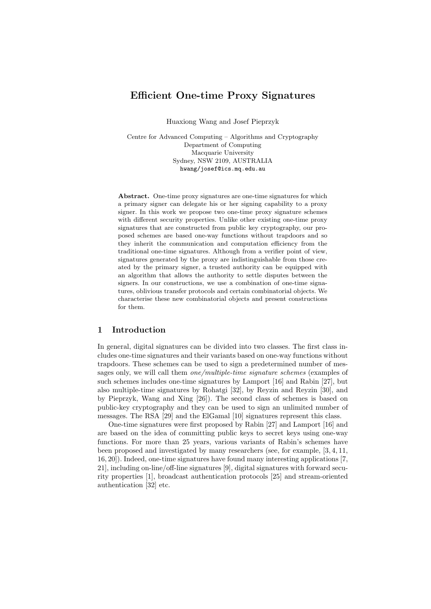# Efficient One-time Proxy Signatures

Huaxiong Wang and Josef Pieprzyk

Centre for Advanced Computing – Algorithms and Cryptography Department of Computing Macquarie University Sydney, NSW 2109, AUSTRALIA hwang/josef@ics.mq.edu.au

Abstract. One-time proxy signatures are one-time signatures for which a primary signer can delegate his or her signing capability to a proxy signer. In this work we propose two one-time proxy signature schemes with different security properties. Unlike other existing one-time proxy signatures that are constructed from public key cryptography, our proposed schemes are based one-way functions without trapdoors and so they inherit the communication and computation efficiency from the traditional one-time signatures. Although from a verifier point of view, signatures generated by the proxy are indistinguishable from those created by the primary signer, a trusted authority can be equipped with an algorithm that allows the authority to settle disputes between the signers. In our constructions, we use a combination of one-time signatures, oblivious transfer protocols and certain combinatorial objects. We characterise these new combinatorial objects and present constructions for them.

# 1 Introduction

In general, digital signatures can be divided into two classes. The first class includes one-time signatures and their variants based on one-way functions without trapdoors. These schemes can be used to sign a predetermined number of messages only, we will call them *one/multiple-time signature schemes* (examples of such schemes includes one-time signatures by Lamport [16] and Rabin [27], but also multiple-time signatures by Rohatgi [32], by Reyzin and Reyzin [30], and by Pieprzyk, Wang and Xing [26]). The second class of schemes is based on public-key cryptography and they can be used to sign an unlimited number of messages. The RSA [29] and the ElGamal [10] signatures represent this class.

One-time signatures were first proposed by Rabin [27] and Lamport [16] and are based on the idea of committing public keys to secret keys using one-way functions. For more than 25 years, various variants of Rabin's schemes have been proposed and investigated by many researchers (see, for example, [3, 4, 11, 16, 20]). Indeed, one-time signatures have found many interesting applications [7, 21], including on-line/off-line signatures [9], digital signatures with forward security properties [1], broadcast authentication protocols [25] and stream-oriented authentication [32] etc.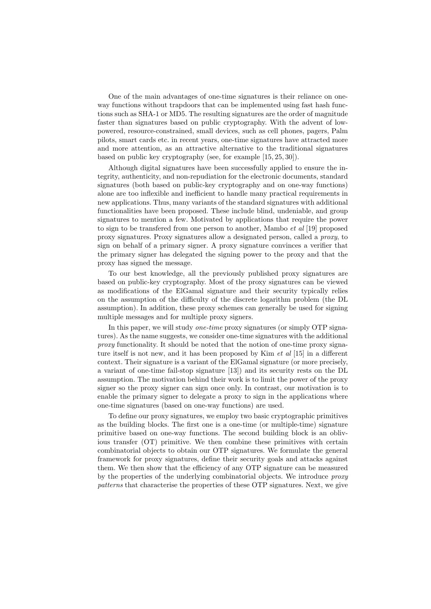One of the main advantages of one-time signatures is their reliance on oneway functions without trapdoors that can be implemented using fast hash functions such as SHA-1 or MD5. The resulting signatures are the order of magnitude faster than signatures based on public cryptography. With the advent of lowpowered, resource-constrained, small devices, such as cell phones, pagers, Palm pilots, smart cards etc. in recent years, one-time signatures have attracted more and more attention, as an attractive alternative to the traditional signatures based on public key cryptography (see, for example [15, 25, 30]).

Although digital signatures have been successfully applied to ensure the integrity, authenticity, and non-repudiation for the electronic documents, standard signatures (both based on public-key cryptography and on one-way functions) alone are too inflexible and inefficient to handle many practical requirements in new applications. Thus, many variants of the standard signatures with additional functionalities have been proposed. These include blind, undeniable, and group signatures to mention a few. Motivated by applications that require the power to sign to be transfered from one person to another, Mambo et al [19] proposed proxy signatures. Proxy signatures allow a designated person, called a proxy, to sign on behalf of a primary signer. A proxy signature convinces a verifier that the primary signer has delegated the signing power to the proxy and that the proxy has signed the message.

To our best knowledge, all the previously published proxy signatures are based on public-key cryptography. Most of the proxy signatures can be viewed as modifications of the ElGamal signature and their security typically relies on the assumption of the difficulty of the discrete logarithm problem (the DL assumption). In addition, these proxy schemes can generally be used for signing multiple messages and for multiple proxy signers.

In this paper, we will study one-time proxy signatures (or simply OTP signatures). As the name suggests, we consider one-time signatures with the additional proxy functionality. It should be noted that the notion of one-time proxy signature itself is not new, and it has been proposed by Kim et al [15] in a different context. Their signature is a variant of the ElGamal signature (or more precisely, a variant of one-time fail-stop signature [13]) and its security rests on the DL assumption. The motivation behind their work is to limit the power of the proxy signer so the proxy signer can sign once only. In contrast, our motivation is to enable the primary signer to delegate a proxy to sign in the applications where one-time signatures (based on one-way functions) are used.

To define our proxy signatures, we employ two basic cryptographic primitives as the building blocks. The first one is a one-time (or multiple-time) signature primitive based on one-way functions. The second building block is an oblivious transfer (OT) primitive. We then combine these primitives with certain combinatorial objects to obtain our OTP signatures. We formulate the general framework for proxy signatures, define their security goals and attacks against them. We then show that the efficiency of any OTP signature can be measured by the properties of the underlying combinatorial objects. We introduce proxy patterns that characterise the properties of these OTP signatures. Next, we give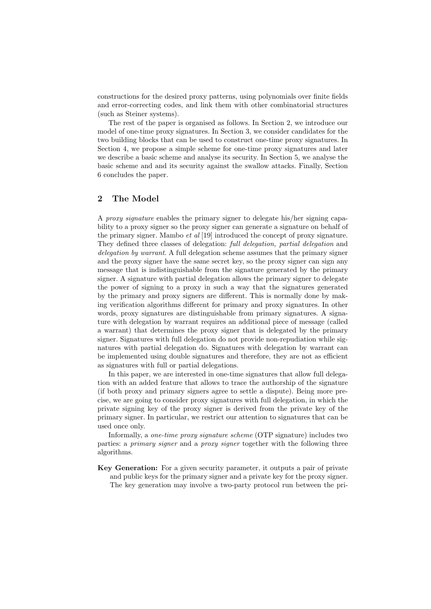constructions for the desired proxy patterns, using polynomials over finite fields and error-correcting codes, and link them with other combinatorial structures (such as Steiner systems).

The rest of the paper is organised as follows. In Section 2, we introduce our model of one-time proxy signatures. In Section 3, we consider candidates for the two building blocks that can be used to construct one-time proxy signatures. In Section 4, we propose a simple scheme for one-time proxy signatures and later we describe a basic scheme and analyse its security. In Section 5, we analyse the basic scheme and and its security against the swallow attacks. Finally, Section 6 concludes the paper.

# 2 The Model

A proxy signature enables the primary signer to delegate his/her signing capability to a proxy signer so the proxy signer can generate a signature on behalf of the primary signer. Mambo et al [19] introduced the concept of proxy signature. They defined three classes of delegation: full delegation, partial delegation and delegation by warrant. A full delegation scheme assumes that the primary signer and the proxy signer have the same secret key, so the proxy signer can sign any message that is indistinguishable from the signature generated by the primary signer. A signature with partial delegation allows the primary signer to delegate the power of signing to a proxy in such a way that the signatures generated by the primary and proxy signers are different. This is normally done by making verification algorithms different for primary and proxy signatures. In other words, proxy signatures are distinguishable from primary signatures. A signature with delegation by warrant requires an additional piece of message (called a warrant) that determines the proxy signer that is delegated by the primary signer. Signatures with full delegation do not provide non-repudiation while signatures with partial delegation do. Signatures with delegation by warrant can be implemented using double signatures and therefore, they are not as efficient as signatures with full or partial delegations.

In this paper, we are interested in one-time signatures that allow full delegation with an added feature that allows to trace the authorship of the signature (if both proxy and primary signers agree to settle a dispute). Being more precise, we are going to consider proxy signatures with full delegation, in which the private signing key of the proxy signer is derived from the private key of the primary signer. In particular, we restrict our attention to signatures that can be used once only.

Informally, a one-time proxy signature scheme (OTP signature) includes two parties: a primary signer and a proxy signer together with the following three algorithms.

Key Generation: For a given security parameter, it outputs a pair of private and public keys for the primary signer and a private key for the proxy signer. The key generation may involve a two-party protocol run between the pri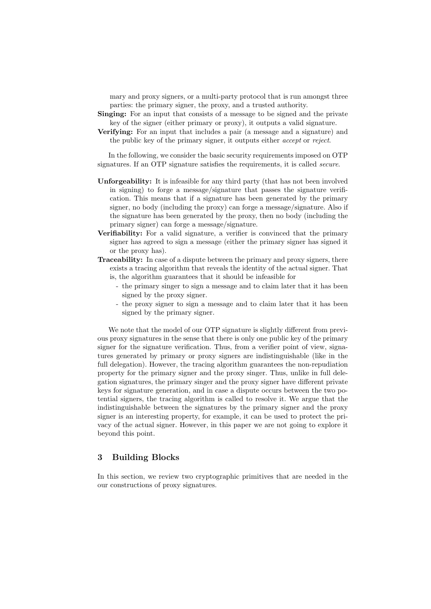mary and proxy signers, or a multi-party protocol that is run amongst three parties: the primary signer, the proxy, and a trusted authority.

- Singing: For an input that consists of a message to be signed and the private key of the signer (either primary or proxy), it outputs a valid signature.
- Verifying: For an input that includes a pair (a message and a signature) and the public key of the primary signer, it outputs either accept or reject.

In the following, we consider the basic security requirements imposed on OTP signatures. If an OTP signature satisfies the requirements, it is called *secure*.

- Unforgeability: It is infeasible for any third party (that has not been involved in signing) to forge a message/signature that passes the signature verification. This means that if a signature has been generated by the primary signer, no body (including the proxy) can forge a message/signature. Also if the signature has been generated by the proxy, then no body (including the primary signer) can forge a message/signature.
- Verifiability: For a valid signature, a verifier is convinced that the primary signer has agreed to sign a message (either the primary signer has signed it or the proxy has).
- **Traceability:** In case of a dispute between the primary and proxy signers, there exists a tracing algorithm that reveals the identity of the actual signer. That is, the algorithm guarantees that it should be infeasible for
	- the primary singer to sign a message and to claim later that it has been signed by the proxy signer.
	- the proxy signer to sign a message and to claim later that it has been signed by the primary signer.

We note that the model of our OTP signature is slightly different from previous proxy signatures in the sense that there is only one public key of the primary signer for the signature verification. Thus, from a verifier point of view, signatures generated by primary or proxy signers are indistinguishable (like in the full delegation). However, the tracing algorithm guarantees the non-repudiation property for the primary signer and the proxy singer. Thus, unlike in full delegation signatures, the primary singer and the proxy signer have different private keys for signature generation, and in case a dispute occurs between the two potential signers, the tracing algorithm is called to resolve it. We argue that the indistinguishable between the signatures by the primary signer and the proxy signer is an interesting property, for example, it can be used to protect the privacy of the actual signer. However, in this paper we are not going to explore it beyond this point.

# 3 Building Blocks

In this section, we review two cryptographic primitives that are needed in the our constructions of proxy signatures.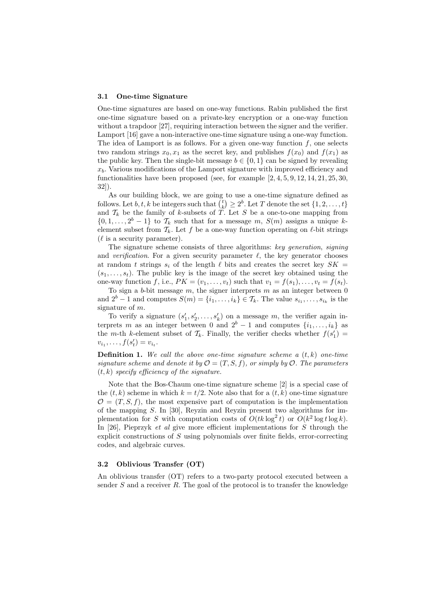#### 3.1 One-time Signature

One-time signatures are based on one-way functions. Rabin published the first one-time signature based on a private-key encryption or a one-way function without a trapdoor [27], requiring interaction between the signer and the verifier. Lamport [16] gave a non-interactive one-time signature using a one-way function. The idea of Lamport is as follows. For a given one-way function  $f$ , one selects two random strings  $x_0, x_1$  as the secret key, and publishes  $f(x_0)$  and  $f(x_1)$  as the public key. Then the single-bit message  $b \in \{0, 1\}$  can be signed by revealing  $x_b$ . Various modifications of the Lamport signature with improved efficiency and functionalities have been proposed (see, for example  $[2, 4, 5, 9, 12, 14, 21, 25, 30,$ 32]).

As our building block, we are going to use a one-time signature defined as As our building block, we are going to use a one-time signature denned as<br>follows. Let b, t, k be integers such that  $\binom{t}{k} \geq 2^b$ . Let T denote the set  $\{1, 2, ..., t\}$ and  $\mathcal{T}_k$  be the family of k-subsets of T. Let S be a one-to-one mapping from  $\{0, 1, \ldots, 2^b - 1\}$  to  $\mathcal{T}_k$  such that for a message m,  $S(m)$  assigns a unique kelement subset from  $\mathcal{T}_k$ . Let f be a one-way function operating on  $\ell$ -bit strings  $(\ell \text{ is a security parameter}).$ 

The signature scheme consists of three algorithms: key generation, signing and verification. For a given security parameter  $\ell$ , the key generator chooses at random t strings  $s_i$  of the length  $\ell$  bits and creates the secret key  $SK =$  $(s_1, \ldots, s_t)$ . The public key is the image of the secret key obtained using the one-way function f, i.e.,  $PK = (v_1, \ldots, v_t)$  such that  $v_1 = f(s_1), \ldots, v_t = f(s_t)$ .

To sign a b-bit message  $m$ , the signer interprets  $m$  as an integer between 0 and  $2^b - 1$  and computes  $S(m) = \{i_1, \ldots, i_k\} \in \mathcal{T}_k$ . The value  $s_{i_1}, \ldots, s_{i_k}$  is the signature of  $m$ .

To verify a signature  $(s'_1, s'_2, \ldots, s'_k)$  on a message m, the verifier again interprets m as an integer between 0 and  $2^b - 1$  and computes  $\{i_1, \ldots, i_k\}$  as the m-th k-element subset of  $\mathcal{T}_k$ . Finally, the verifier checks whether  $f(s'_1)$  $v_{i_1}, \ldots, f(s'_t) = v_{i_t}.$ 

**Definition 1.** We call the above one-time signature scheme a  $(t, k)$  one-time signature scheme and denote it by  $\mathcal{O} = (T, S, f)$ , or simply by  $\mathcal{O}$ . The parameters  $(t, k)$  specify efficiency of the signature.

Note that the Bos-Chaum one-time signature scheme [2] is a special case of the  $(t, k)$  scheme in which  $k = t/2$ . Note also that for a  $(t, k)$  one-time signature  $\mathcal{O} = (T, S, f)$ , the most expensive part of computation is the implementation of the mapping S. In [30], Reyzin and Reyzin present two algorithms for implementation for S with computation costs of  $O(tk \log^2 t)$  or  $O(k^2 \log t \log k)$ . In [26], Pieprzyk et al give more efficient implementations for S through the explicit constructions of S using polynomials over finite fields, error-correcting codes, and algebraic curves.

#### 3.2 Oblivious Transfer (OT)

An oblivious transfer (OT) refers to a two-party protocol executed between a sender  $S$  and a receiver  $R$ . The goal of the protocol is to transfer the knowledge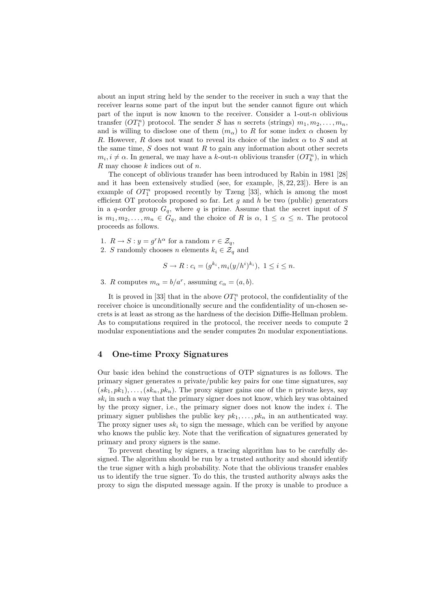about an input string held by the sender to the receiver in such a way that the receiver learns some part of the input but the sender cannot figure out which part of the input is now known to the receiver. Consider a 1-out-n oblivious transfer  $(OT_1^n)$  protocol. The sender S has n secrets (strings)  $m_1, m_2, \ldots, m_n$ , and is willing to disclose one of them  $(m_{\alpha})$  to R for some index  $\alpha$  chosen by R. However, R does not want to reveal its choice of the index  $\alpha$  to S and at the same time,  $S$  does not want  $R$  to gain any information about other secrets  $m_i, i \neq \alpha$ . In general, we may have a k-out-n oblivious transfer  $(OT_k^n)$ , in which R may choose  $k$  indices out of  $n$ .

The concept of oblivious transfer has been introduced by Rabin in 1981 [28] and it has been extensively studied (see, for example, [8, 22, 23]). Here is an example of  $OT_1^n$  proposed recently by Tzeng [33], which is among the most efficient OT protocols proposed so far. Let  $g$  and  $h$  be two (public) generators in a q-order group  $G_q$ , where q is prime. Assume that the secret input of S is  $m_1, m_2, \ldots, m_n \in \tilde{G}_q$ , and the choice of R is  $\alpha, 1 \leq \alpha \leq n$ . The protocol proceeds as follows.

1.  $R \to S : y = g^r h^\alpha$  for a random  $r \in \mathcal{Z}_q$ ,

2. S randomly chooses n elements  $k_i \in \mathcal{Z}_q$  and

$$
S \to R : c_i = (g^{k_i}, m_i(y/h^i)^{k_i}), \ 1 \le i \le n.
$$

3. R computes  $m_{\alpha} = b/a^{r}$ , assuming  $c_{\alpha} = (a, b)$ .

It is proved in [33] that in the above  $OT_1^n$  protocol, the confidentiality of the receiver choice is unconditionally secure and the confidentiality of un-chosen secrets is at least as strong as the hardness of the decision Diffie-Hellman problem. As to computations required in the protocol, the receiver needs to compute 2 modular exponentiations and the sender computes  $2n$  modular exponentiations.

## 4 One-time Proxy Signatures

Our basic idea behind the constructions of OTP signatures is as follows. The primary signer generates  $n$  private/public key pairs for one time signatures, say  $(s_k, pk_1), \ldots, (sk_n, pk_n)$ . The proxy signer gains one of the *n* private keys, say  $sk_i$  in such a way that the primary signer does not know, which key was obtained by the proxy signer, i.e., the primary signer does not know the index  $i$ . The primary signer publishes the public key  $pk_1, \ldots, pk_n$  in an authenticated way. The proxy signer uses  $sk_i$  to sign the message, which can be verified by anyone who knows the public key. Note that the verification of signatures generated by primary and proxy signers is the same.

To prevent cheating by signers, a tracing algorithm has to be carefully designed. The algorithm should be run by a trusted authority and should identify the true signer with a high probability. Note that the oblivious transfer enables us to identify the true signer. To do this, the trusted authority always asks the proxy to sign the disputed message again. If the proxy is unable to produce a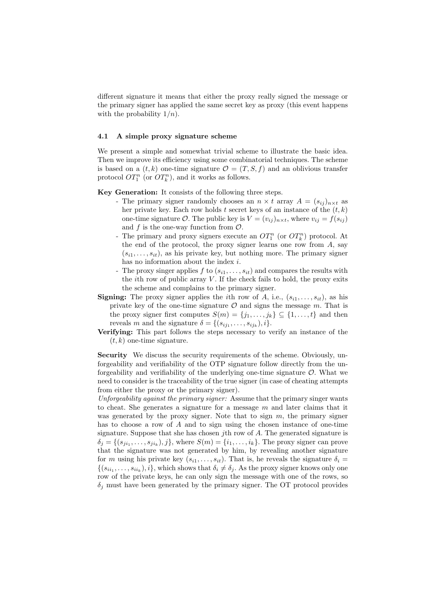different signature it means that either the proxy really signed the message or the primary signer has applied the same secret key as proxy (this event happens with the probability  $1/n$ ).

#### 4.1 A simple proxy signature scheme

We present a simple and somewhat trivial scheme to illustrate the basic idea. Then we improve its efficiency using some combinatorial techniques. The scheme is based on a  $(t, k)$  one-time signature  $\mathcal{O} = (T, S, f)$  and an oblivious transfer protocol  $OT_1^n$  (or  $OT_k^n$ ), and it works as follows.

Key Generation: It consists of the following three steps.

- The primary signer randomly chooses an  $n \times t$  array  $A = (s_{ij})_{n \times t}$  as her private key. Each row holds t secret keys of an instance of the  $(t, k)$ one-time signature  $\mathcal{O}$ . The public key is  $V = (v_{ij})_{n \times t}$ , where  $v_{ij} = f(s_{ij})$ and f is the one-way function from  $\mathcal{O}$ .
- The primary and proxy signers execute an  $OT<sub>1</sub><sup>n</sup>$  (or  $OT<sub>k</sub><sup>n</sup>$ ) protocol. At the end of the protocol, the proxy signer learns one row from  $A$ , say  $(s_{i1}, \ldots, s_{it})$ , as his private key, but nothing more. The primary signer has no information about the index i.
- The proxy singer applies f to  $(s_{i1}, \ldots, s_{it})$  and compares the results with the *i*th row of public array  $V$ . If the check fails to hold, the proxy exits the scheme and complains to the primary signer.
- **Signing:** The proxy signer applies the *i*th row of A, i.e.,  $(s_{i1}, \ldots, s_{it})$ , as his private key of the one-time signature  $\mathcal O$  and signs the message  $m$ . That is the proxy signer first computes  $S(m) = \{j_1, \ldots, j_k\} \subseteq \{1, \ldots, t\}$  and then reveals m and the signature  $\delta = \{(s_{ij_1}, \ldots, s_{ij_k}), i\}.$
- Verifying: This part follows the steps necessary to verify an instance of the  $(t, k)$  one-time signature.

Security We discuss the security requirements of the scheme. Obviously, unforgeability and verifiability of the OTP signature follow directly from the unforgeability and verifiability of the underlying one-time signature  $\mathcal{O}$ . What we need to consider is the traceability of the true signer (in case of cheating attempts from either the proxy or the primary signer).

Unforgeability against the primary signer: Assume that the primary singer wants to cheat. She generates a signature for a message  $m$  and later claims that it was generated by the proxy signer. Note that to sign  $m$ , the primary signer has to choose a row of  $A$  and to sign using the chosen instance of one-time signature. Suppose that she has chosen  $j$ th row of  $A$ . The generated signature is  $\delta_j = \{(s_{ji_1}, \ldots, s_{ji_k}), j\}$ , where  $S(m) = \{i_1, \ldots, i_k\}$ . The proxy signer can prove that the signature was not generated by him, by revealing another signature for m using his private key  $(s_{i1},...,s_{it})$ . That is, he reveals the signature  $\delta_i =$  $\{(s_{ii_1},\ldots,s_{ii_k}),i\}$ , which shows that  $\delta_i\neq\delta_j$ . As the proxy signer knows only one row of the private keys, he can only sign the message with one of the rows, so  $\delta_j$  must have been generated by the primary signer. The OT protocol provides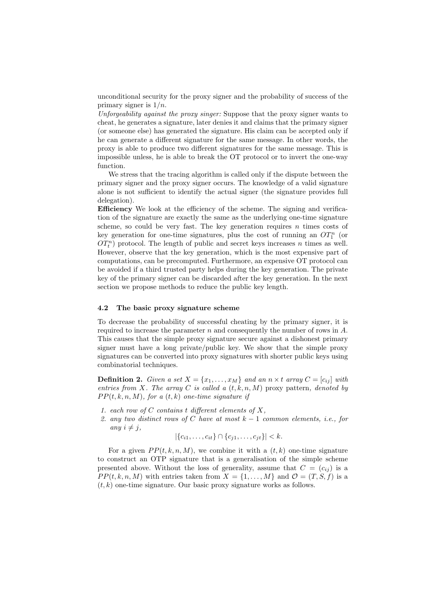unconditional security for the proxy signer and the probability of success of the primary signer is  $1/n$ .

Unforgeability against the proxy singer: Suppose that the proxy signer wants to cheat, he generates a signature, later denies it and claims that the primary signer (or someone else) has generated the signature. His claim can be accepted only if he can generate a different signature for the same message. In other words, the proxy is able to produce two different signatures for the same message. This is impossible unless, he is able to break the OT protocol or to invert the one-way function.

We stress that the tracing algorithm is called only if the dispute between the primary signer and the proxy signer occurs. The knowledge of a valid signature alone is not sufficient to identify the actual signer (the signature provides full delegation).

Efficiency We look at the efficiency of the scheme. The signing and verification of the signature are exactly the same as the underlying one-time signature scheme, so could be very fast. The key generation requires  $n$  times costs of key generation for one-time signatures, plus the cost of running an  $OT<sub>1</sub><sup>n</sup>$  (or  $OT<sub>t</sub><sup>n</sup>$ ) protocol. The length of public and secret keys increases n times as well. However, observe that the key generation, which is the most expensive part of computations, can be precomputed. Furthermore, an expensive OT protocol can be avoided if a third trusted party helps during the key generation. The private key of the primary signer can be discarded after the key generation. In the next section we propose methods to reduce the public key length.

#### 4.2 The basic proxy signature scheme

To decrease the probability of successful cheating by the primary signer, it is required to increase the parameter n and consequently the number of rows in  $A$ . This causes that the simple proxy signature secure against a dishonest primary signer must have a long private/public key. We show that the simple proxy signatures can be converted into proxy signatures with shorter public keys using combinatorial techniques.

**Definition 2.** Given a set  $X = \{x_1, \ldots, x_M\}$  and an  $n \times t$  array  $C = [c_{ij}]$  with entries from X. The array C is called a  $(t, k, n, M)$  proxy pattern, denoted by  $PP(t, k, n, M)$ , for a  $(t, k)$  one-time signature if

- 1. each row of  $C$  contains t different elements of  $X$ ,
- 2. any two distinct rows of C have at most  $k-1$  common elements, i.e., for any  $i \neq j$ ,

 $|\{c_{i1}, \ldots, c_{it}\}| \cap \{c_{i1}, \ldots, c_{it}\}| < k.$ 

For a given  $PP(t, k, n, M)$ , we combine it with a  $(t, k)$  one-time signature to construct an OTP signature that is a generalisation of the simple scheme presented above. Without the loss of generality, assume that  $C = (c_{ij})$  is a  $PP(t, k, n, M)$  with entries taken from  $X = \{1, \ldots, M\}$  and  $\mathcal{O} = (T, S, f)$  is a  $(t, k)$  one-time signature. Our basic proxy signature works as follows.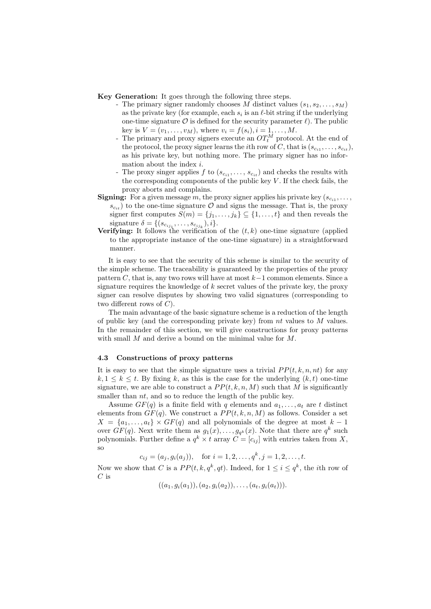Key Generation: It goes through the following three steps.

- The primary signer randomly chooses M distinct values  $(s_1, s_2, \ldots, s_M)$ as the private key (for example, each  $s_i$  is an  $\ell$ -bit string if the underlying one-time signature  $\mathcal O$  is defined for the security parameter  $\ell$ ). The public key is  $V = (v_1, ..., v_M)$ , where  $v_i = f(s_i), i = 1, ..., M$ .
- The primary and proxy signers execute an  $OT_t^M$  protocol. At the end of the protocol, the proxy signer learns the *i*th row of C, that is  $(s_{c_{i1}}, \ldots, s_{c_{it}})$ , as his private key, but nothing more. The primary signer has no information about the index  $i$ .
- The proxy singer applies f to  $(s_{c_{i1}}, \ldots, s_{c_{it}})$  and checks the results with the corresponding components of the public key  $V$ . If the check fails, the proxy aborts and complains.
- **Signing:** For a given message m, the proxy signer applies his private key  $(s_{c_{i1}}, \ldots, s_{i1})$  $s_{c_{it}}$  to the one-time signature  $\mathcal O$  and signs the message. That is, the proxy signer first computes  $S(m) = \{j_1, \ldots, j_k\} \subseteq \{1, \ldots, t\}$  and then reveals the signature  $\delta = \{(s_{c_{ij_1}}, \ldots, s_{c_{ij_k}}), i\}.$
- **Verifying:** It follows the verification of the  $(t, k)$  one-time signature (applied to the appropriate instance of the one-time signature) in a straightforward manner.

It is easy to see that the security of this scheme is similar to the security of the simple scheme. The traceability is guaranteed by the properties of the proxy pattern C, that is, any two rows will have at most  $k-1$  common elements. Since a signature requires the knowledge of  $k$  secret values of the private key, the proxy signer can resolve disputes by showing two valid signatures (corresponding to two different rows of  $C$ ).

The main advantage of the basic signature scheme is a reduction of the length of public key (and the corresponding private key) from  $nt$  values to  $M$  values. In the remainder of this section, we will give constructions for proxy patterns with small M and derive a bound on the minimal value for M.

#### 4.3 Constructions of proxy patterns

It is easy to see that the simple signature uses a trivial  $PP(t, k, n, nt)$  for any  $k, 1 \leq k \leq t$ . By fixing k, as this is the case for the underlying  $(k, t)$  one-time signature, we are able to construct a  $PP(t, k, n, M)$  such that M is significantly smaller than  $nt$ , and so to reduce the length of the public key.

Assume  $GF(q)$  is a finite field with q elements and  $a_1, \ldots, a_t$  are t distinct elements from  $GF(q)$ . We construct a  $PP(t, k, n, M)$  as follows. Consider a set  $X = \{a_1, \ldots, a_t\} \times GF(q)$  and all polynomials of the degree at most  $k-1$ over  $GF(q)$ . Next write them as  $g_1(x), \ldots, g_{q^k}(x)$ . Note that there are  $q^k$  such polynomials. Further define a  $q^k \times t$  array  $C = [c_{ij}]$  with entries taken from X, so

 $c_{ij} = (a_j, g_i(a_j)),$  for  $i = 1, 2, ..., q^k, j = 1, 2, ..., t.$ 

Now we show that C is a  $PP(t, k, q^k, qt)$ . Indeed, for  $1 \leq i \leq q^k$ , the *i*th row of  $C$  is

$$
((a_1, g_i(a_1)), (a_2, g_i(a_2)), \ldots, (a_t, g_i(a_t))).
$$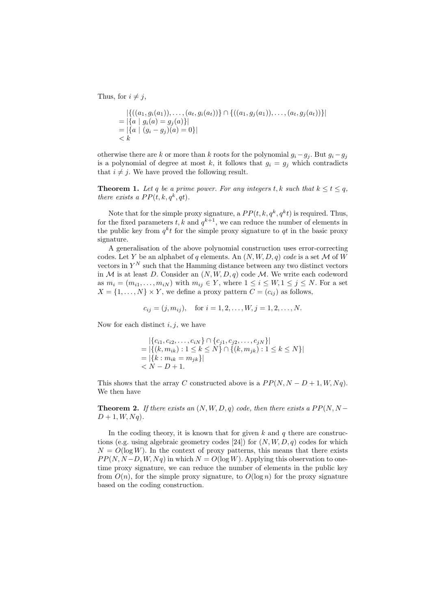Thus, for  $i \neq j$ ,

$$
|\{((a_1, g_i(a_1)), \ldots, (a_t, g_i(a_t))\} \cap \{((a_1, g_j(a_1)), \ldots, (a_t, g_j(a_t))\}|
$$
  
=  $|\{a \mid g_i(a) = g_j(a)\}|$   
=  $|\{a \mid (g_i - g_j)(a) = 0\}|$   
<  $k$ 

otherwise there are k or more than k roots for the polynomial  $g_i - g_j$ . But  $g_i - g_j$ is a polynomial of degree at most k, it follows that  $g_i = g_j$  which contradicts that  $i \neq j$ . We have proved the following result.

**Theorem 1.** Let q be a prime power. For any integers t, k such that  $k \le t \le q$ , there exists a  $PP(t, k, q^k, qt)$ .

Note that for the simple proxy signature, a  $PP(t, k, q^k, q^k t)$  is required. Thus, for the fixed parameters  $t, k$  and  $q^{k+1}$ , we can reduce the number of elements in the public key from  $q^k t$  for the simple proxy signature to qt in the basic proxy signature.

A generalisation of the above polynomial construction uses error-correcting codes. Let Y be an alphabet of q elements. An  $(N, W, D, q)$  code is a set M of W vectors in  $Y^N$  such that the Hamming distance between any two distinct vectors in  $M$  is at least  $D$ . Consider an  $(N, W, D, q)$  code  $M$ . We write each codeword as  $m_i = (m_{i1}, \ldots, m_{iN})$  with  $m_{ij} \in Y$ , where  $1 \le i \le W, 1 \le j \le N$ . For a set  $X = \{1, \ldots, N\} \times Y$ , we define a proxy pattern  $C = (c_{ij})$  as follows,

$$
c_{ij} = (j, m_{ij}),
$$
 for  $i = 1, 2, ..., W, j = 1, 2, ..., N.$ 

Now for each distinct  $i, j$ , we have

$$
|\{c_{i1}, c_{i2}, \dots, c_{iN}\} \cap \{c_{j1}, c_{j2}, \dots, c_{jN}\}|
$$
  
= |\{(k, m\_{ik}) : 1 \le k \le N\} \cap \{(k, m\_{jk}) : 1 \le k \le N\}|  
= |\{k : m\_{ik} = m\_{jk}\}|  
< N - D + 1.

This shows that the array C constructed above is a  $PP(N, N - D + 1, W, Nq)$ . We then have

**Theorem 2.** If there exists an  $(N, W, D, q)$  code, then there exists a  $PP(N, N - q)$  $D + 1, W, Nq$ .

In the coding theory, it is known that for given  $k$  and  $q$  there are constructions (e.g. using algebraic geometry codes [24]) for  $(N, W, D, q)$  codes for which  $N = O(\log W)$ . In the context of proxy patterns, this means that there exists  $PP(N, N-D, W, Nq)$  in which  $N = O(\log W)$ . Applying this observation to onetime proxy signature, we can reduce the number of elements in the public key from  $O(n)$ , for the simple proxy signature, to  $O(\log n)$  for the proxy signature based on the coding construction.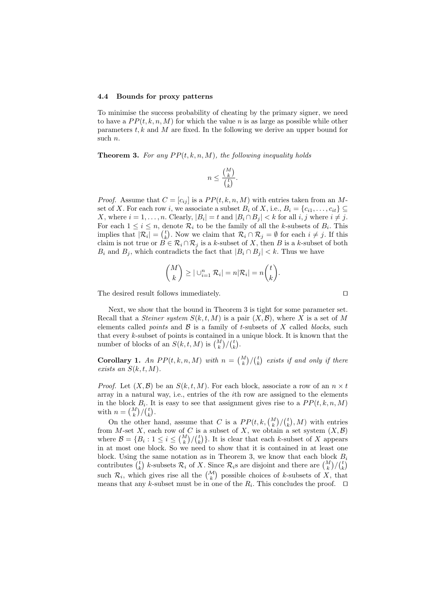#### 4.4 Bounds for proxy patterns

To minimise the success probability of cheating by the primary signer, we need to have a  $PP(t, k, n, M)$  for which the value n is as large as possible while other parameters  $t, k$  and  $M$  are fixed. In the following we derive an upper bound for such  $n$ .

**Theorem 3.** For any  $PP(t, k, n, M)$ , the following inequality holds

$$
n \le \frac{\binom{M}{k}}{\binom{t}{k}}.
$$

*Proof.* Assume that  $C = [c_{ij}]$  is a  $PP(t, k, n, M)$  with entries taken from an Mset of X. For each row i, we associate a subset  $B_i$  of X, i.e.,  $B_i = \{c_{i1}, \ldots, c_{it}\} \subseteq$ X, where  $i = 1, ..., n$ . Clearly,  $|B_i| = t$  and  $|B_i \cap B_j| < k$  for all  $i, j$  where  $i \neq j$ . For each  $1 \leq i \leq n$ , denote  $\mathcal{R}_i$  to be the family of all the k-subsets of  $B_i$ . This implies that  $|\mathcal{R}_i| = \binom{t}{k}$ . Now we claim that  $\mathcal{R}_i \cap \mathcal{R}_j = \emptyset$  for each  $i \neq j$ . If this claim is not true or  $B \in \mathcal{R}_i \cap \mathcal{R}_j$  is a k-subset of X, then B is a k-subset of both  $B_i$  and  $B_j$ , which contradicts the fact that  $|B_i \cap B_j| < k$ . Thus we have

$$
\binom{M}{k} \geq |\cup_{i=1}^n \mathcal{R}_i| = n|\mathcal{R}_i| = n\binom{t}{k}.
$$

The desired result follows immediately.  $\Box$ 

Next, we show that the bound in Theorem 3 is tight for some parameter set. Recall that a *Steiner system*  $S(k, t, M)$  is a pair  $(X, \mathcal{B})$ , where X is a set of M elements called *points* and  $\beta$  is a family of *t*-subsets of X called *blocks*, such that every k-subset of points is contained in a unique block. It is known that the that every *k*-subset of points is contained in a<br>number of blocks of an  $S(k, t, M)$  is  $\binom{M}{k}/\binom{t}{k}$ .

**Corollary 1.** An  $PP(t, k, n, M)$  with  $n = \binom{M}{k}$ ¢ /  $\binom{t}{k}$ ¢ exists if and only if there exists an  $S(k, t, M)$ .

*Proof.* Let  $(X, \mathcal{B})$  be an  $S(k, t, M)$ . For each block, associate a row of an  $n \times t$ array in a natural way, i.e., entries of the ith row are assigned to the elements in the block  $B_i$ . It is easy to see that assignment gives rise to a  $PP(t, k, n, M)$ in the block  $B_i$ . It<br>with  $n = {M \choose k} / {t \choose k}$ . ¢ ¢

On the other hand, assume that C is a  $PP(t, k, {M \choose k})$ /  $\binom{t}{k}$  $, M$ ) with entries from M-set X, each row of C is a subset of X, we obtain a set system  $(X, \mathcal{B})$ from *M*-set *A*, each row of C is a subset of *A*, we obtain a set system  $(A, B)$ <br>where  $B = {B_i : 1 \le i \le {M \choose k}/ {t \choose k}}$ . It is clear that each *k*-subset of *X* appears in at most one block. So we need to show that it is contained in at least one block. Using the same notation as in Theorem 3, we know that each block  $B_i$ block. Using the same notation as in Theorem 3, we know that each block E<br>contributes  $\binom{k}{k} k$ -subsets  $\mathcal{R}_i$  of X. Since  $\mathcal{R}_i$  are disjoint and there are  $\binom{M}{k} / \binom{t}{k}$ such  $\mathcal{R}_i$ , which gives rise all the  $\binom{M}{k}$  possible choices of k-subsets of X, that means that any k-subset must be in one of the  $R_i$ . This concludes the proof.  $\Box$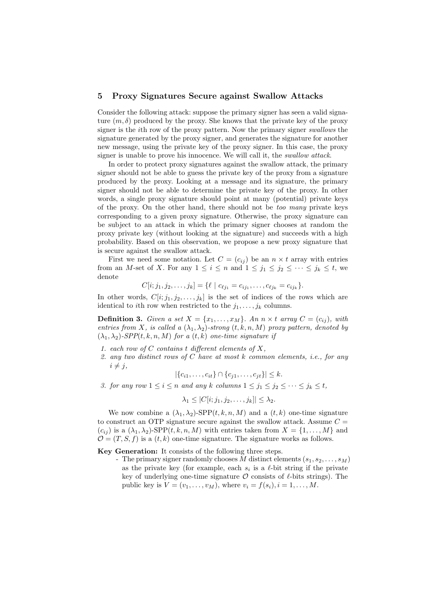## 5 Proxy Signatures Secure against Swallow Attacks

Consider the following attack: suppose the primary signer has seen a valid signature  $(m, \delta)$  produced by the proxy. She knows that the private key of the proxy signer is the *i*th row of the proxy pattern. Now the primary signer *swallows* the signature generated by the proxy signer, and generates the signature for another new message, using the private key of the proxy signer. In this case, the proxy signer is unable to prove his innocence. We will call it, the swallow attack.

In order to protect proxy signatures against the swallow attack, the primary signer should not be able to guess the private key of the proxy from a signature produced by the proxy. Looking at a message and its signature, the primary signer should not be able to determine the private key of the proxy. In other words, a single proxy signature should point at many (potential) private keys of the proxy. On the other hand, there should not be too many private keys corresponding to a given proxy signature. Otherwise, the proxy signature can be subject to an attack in which the primary signer chooses at random the proxy private key (without looking at the signature) and succeeds with a high probability. Based on this observation, we propose a new proxy signature that is secure against the swallow attack.

First we need some notation. Let  $C = (c_{ij})$  be an  $n \times t$  array with entries from an M-set of X. For any  $1 \leq i \leq n$  and  $1 \leq j_1 \leq j_2 \leq \cdots \leq j_k \leq t$ , we denote

$$
C[i; j_1, j_2, \ldots, j_k] = \{ \ell \mid c_{\ell j_1} = c_{ij_1}, \ldots, c_{\ell j_k} = c_{ij_k} \}.
$$

In other words,  $C[i; j_1, j_2, \ldots, j_k]$  is the set of indices of the rows which are identical to *i*th row when restricted to the  $j_1, \ldots, j_k$  columns.

**Definition 3.** Given a set  $X = \{x_1, \ldots, x_M\}$ . An  $n \times t$  array  $C = (c_{ij})$ , with entries from X, is called a  $(\lambda_1, \lambda_2)$ -strong  $(t, k, n, M)$  proxy pattern, denoted by  $(\lambda_1, \lambda_2)$ -SPP $(t, k, n, M)$  for a  $(t, k)$  one-time signature if

- 1. each row of  $C$  contains t different elements of  $X$ ,
- 2. any two distinct rows of  $C$  have at most  $k$  common elements, i.e., for any  $i \neq j$ ,

 $|\{c_{i1}, \ldots, c_{it}\} \cap \{c_{j1}, \ldots, c_{jt}\}| \leq k.$ 

3. for any row  $1 \leq i \leq n$  and any k columns  $1 \leq j_1 \leq j_2 \leq \cdots \leq j_k \leq t$ ,

$$
\lambda_1 \leq |C[i; j_1, j_2, \dots, j_k]| \leq \lambda_2.
$$

We now combine a  $(\lambda_1, \lambda_2)$ -SPP $(t, k, n, M)$  and a  $(t, k)$  one-time signature to construct an OTP signature secure against the swallow attack. Assume  $C =$  $(c_{ij})$  is a  $(\lambda_1, \lambda_2)$ -SPP $(t, k, n, M)$  with entries taken from  $X = \{1, ..., M\}$  and  $\mathcal{O} = (T, S, f)$  is a  $(t, k)$  one-time signature. The signature works as follows.

Key Generation: It consists of the following three steps.

- The primary signer randomly chooses M distinct elements  $(s_1, s_2, \ldots, s_M)$ as the private key (for example, each  $s_i$  is a  $\ell$ -bit string if the private key of underlying one-time signature  $\mathcal O$  consists of  $\ell$ -bits strings). The public key is  $V = (v_1, ..., v_M)$ , where  $v_i = f(s_i), i = 1, ..., M$ .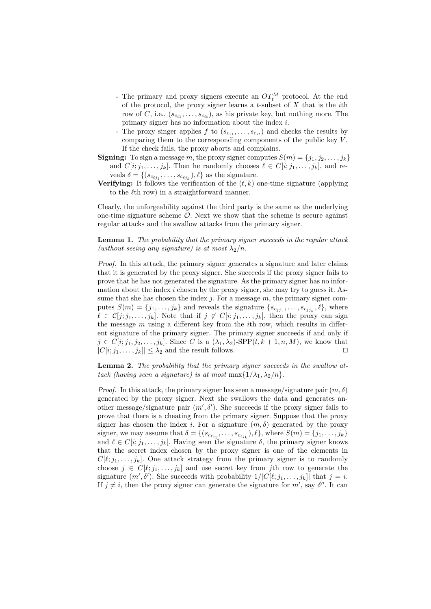- The primary and proxy signers execute an  $OT_t^M$  protocol. At the end of the protocol, the proxy signer learns a  $t$ -subset of  $X$  that is the *i*th row of C, i.e.,  $(s_{c_{i1}}, \ldots, s_{c_{it}})$ , as his private key, but nothing more. The primary signer has no information about the index i.
- The proxy singer applies f to  $(s_{c_{i1}},\ldots,s_{c_{it}})$  and checks the results by comparing them to the corresponding components of the public key V . If the check fails, the proxy aborts and complains.
- **Signing:** To sign a message m, the proxy signer computes  $S(m) = \{j_1, j_2, \ldots, j_k\}$ and  $C[i; j_1, \ldots, j_k]$ . Then he randomly chooses  $\ell \in C[i; j_1, \ldots, j_k]$ , and reveals  $\delta = \{(s_{c_{\ell j_1}}, \ldots, s_{c_{\ell j_k}}), \ell\}$  as the signature.
- **Verifying:** It follows the verification of the  $(t, k)$  one-time signature (applying to the  $\ell$ th row) in a straightforward manner.

Clearly, the unforgeability against the third party is the same as the underlying one-time signature scheme  $\mathcal{O}$ . Next we show that the scheme is secure against regular attacks and the swallow attacks from the primary signer.

**Lemma 1.** The probability that the primary signer succeeds in the regular attack (without seeing any signature) is at most  $\lambda_2/n$ .

Proof. In this attack, the primary signer generates a signature and later claims that it is generated by the proxy signer. She succeeds if the proxy signer fails to prove that he has not generated the signature. As the primary signer has no information about the index  $i$  chosen by the proxy signer, she may try to guess it. Assume that she has chosen the index  $j$ . For a message  $m$ , the primary signer computes  $S(m) = \{j_1, \ldots, j_k\}$  and reveals the signature  $\{s_{c_{jj_1}}, \ldots, s_{c_{jj_k}}, \ell\}$ , where  $\ell \in C[j; j_1, \ldots, j_k]$ . Note that if  $j \notin C[i; j_1, \ldots, j_k]$ , then the proxy can sign the message  $m$  using a different key from the *i*th row, which results in different signature of the primary signer. The primary signer succeeds if and only if  $j \in C[i; j_1, j_2, \ldots, j_k]$ . Since C is a  $(\lambda_1, \lambda_2)$ -SPP $(t, k+1, n, M)$ , we know that  $|C[i; j_1, \ldots, j_k]| \leq \lambda_2$  and the result follows.

Lemma 2. The probability that the primary signer succeeds in the swallow attack (having seen a signature) is at most  $\max\{1/\lambda_1, \lambda_2/n\}$ .

*Proof.* In this attack, the primary signer has seen a message/signature pair  $(m, \delta)$ generated by the proxy signer. Next she swallows the data and generates another message/signature pair  $(m', \delta')$ . She succeeds if the proxy signer fails to prove that there is a cheating from the primary signer. Suppose that the proxy signer has chosen the index i. For a signature  $(m, \delta)$  generated by the proxy signer, we may assume that  $\delta = \{(s_{c_{\ell j_1}}, \ldots, s_{c_{\ell j_k}}), \ell\}$ , where  $S(m) = \{j_1, \ldots, j_k\}$ and  $\ell \in C[i; j_1, \ldots, j_k]$ . Having seen the signature  $\delta$ , the primary signer knows that the secret index chosen by the proxy signer is one of the elements in  $C[\ell; j_1, \ldots, j_k]$ . One attack strategy from the primary signer is to randomly choose  $j \in C[\ell; j_1, \ldots, j_k]$  and use secret key from jth row to generate the signature  $(m', \delta')$ . She succeeds with probability  $1/|C[\ell; j_1, \ldots, j_k]|$  that  $j = i$ . If  $j \neq i$ , then the proxy signer can generate the signature for m', say  $\delta''$ . It can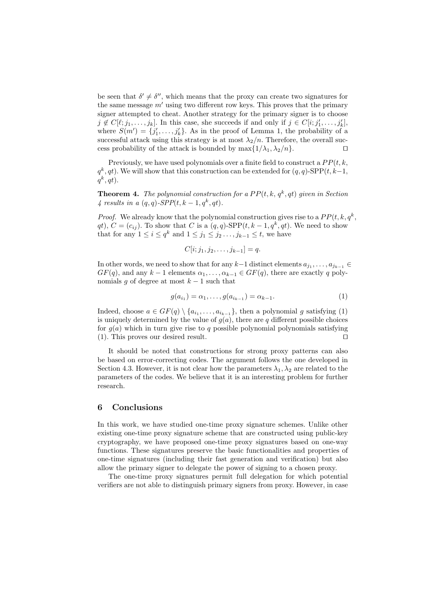be seen that  $\delta' \neq \delta''$ , which means that the proxy can create two signatures for the same message  $m'$  using two different row keys. This proves that the primary signer attempted to cheat. Another strategy for the primary signer is to choose  $j \notin C[\ell; j_1, \ldots, j_k]$ . In this case, she succeeds if and only if  $j \in C[i; j'_1, \ldots, j'_k]$ , where  $S(m') = \{j'_1, \ldots, j'_k\}$ . As in the proof of Lemma 1, the probability of a successful attack using this strategy is at most  $\lambda_2/n$ . Therefore, the overall success probability of the attack is bounded by  $\max\{1/\lambda_1, \lambda_2/n\}$ .

Previously, we have used polynomials over a finite field to construct a  $PP(t, k, \mathcal{L})$  $q^k, qt$ ). We will show that this construction can be extended for  $(q, q)$ -SPP $(t, k-1,$  $q^k, qt$ ).

**Theorem 4.** The polynomial construction for a  $PP(t, k, q^k, qt)$  given in Section 4 results in a  $(q, q)$ -SPP $(t, k - 1, q<sup>k</sup>, qt)$ .

*Proof.* We already know that the polynomial construction gives rise to a  $PP(t, k, q^k)$ , qt),  $C = (c_{ij})$ . To show that C is a  $(q, q)$ -SPP $(t, k - 1, q^k, qt)$ . We need to show that for any  $1 \leq i \leq q^k$  and  $1 \leq j_1 \leq j_2 \ldots, j_{k-1} \leq t$ , we have

$$
C[i; j_1, j_2, \ldots, j_{k-1}] = q.
$$

In other words, we need to show that for any  $k-1$  distinct elements  $a_{j_1}, \ldots, a_{j_{k-1}} \in$  $GF(q)$ , and any  $k-1$  elements  $\alpha_1, \ldots, \alpha_{k-1} \in GF(q)$ , there are exactly q polynomials g of degree at most  $k-1$  such that

$$
g(a_{i_1}) = \alpha_1, \dots, g(a_{i_{k-1}}) = \alpha_{k-1}.
$$
\n(1)

Indeed, choose  $a \in GF(q) \setminus \{a_{i_1}, \ldots, a_{i_{k-1}}\}$ , then a polynomial g satisfying (1) is uniquely determined by the value of  $g(a)$ , there are q different possible choices for  $g(a)$  which in turn give rise to q possible polynomial polynomials satisfying (1). This proves our desired result.  $\square$ 

It should be noted that constructions for strong proxy patterns can also be based on error-correcting codes. The argument follows the one developed in Section 4.3. However, it is not clear how the parameters  $\lambda_1, \lambda_2$  are related to the parameters of the codes. We believe that it is an interesting problem for further research.

## 6 Conclusions

In this work, we have studied one-time proxy signature schemes. Unlike other existing one-time proxy signature scheme that are constructed using public-key cryptography, we have proposed one-time proxy signatures based on one-way functions. These signatures preserve the basic functionalities and properties of one-time signatures (including their fast generation and verification) but also allow the primary signer to delegate the power of signing to a chosen proxy.

The one-time proxy signatures permit full delegation for which potential verifiers are not able to distinguish primary signers from proxy. However, in case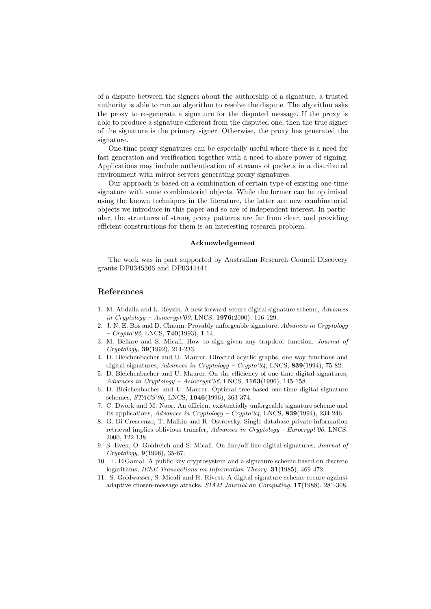of a dispute between the signers about the authorship of a signature, a trusted authority is able to run an algorithm to resolve the dispute. The algorithm asks the proxy to re-generate a signature for the disputed message. If the proxy is able to produce a signature different from the disputed one, then the true signer of the signature is the primary signer. Otherwise, the proxy has generated the signature.

One-time proxy signatures can be especially useful where there is a need for fast generation and verification together with a need to share power of signing. Applications may include authentication of streams of packets in a distributed environment with mirror servers generating proxy signatures.

Our approach is based on a combination of certain type of existing one-time signature with some combinatorial objects. While the former can be optimised using the known techniques in the literature, the latter are new combinatorial objects we introduce in this paper and so are of independent interest. In particular, the structures of strong proxy patterns are far from clear, and providing efficient constructions for them is an interesting research problem.

#### Acknowledgement

The work was in part supported by Australian Research Council Discovery grants DP0345366 and DP0344444.

### References

- 1. M. Abdalla and L. Reyzin. A new forward-secure digital signature scheme, Advances in Cryptology – Asiacrypt'00, LNCS, 1976(2000), 116-129.
- 2. J. N. E. Bos and D. Chaum. Provably unforgeable signature, Advances in Cryptology  $-$  Crypto'92, LNCS, **740**(1993), 1-14.
- 3. M. Bellare and S. Micali. How to sign given any trapdoor function. Journal of Cryptology, 39(1992), 214-233.
- 4. D. Bleichenbacher and U. Maurer. Directed acyclic graphs, one-way functions and digital signatures, Advances in Cryptology – Crypto'94, LNCS,  $839(1994)$ , 75-82.
- 5. D. Bleichenbacher and U. Maurer. On the efficiency of one-time digital signatures, Advances in Cryptology – Asiacrypt'96, LNCS,  $1163(1996)$ , 145-158.
- 6. D. Bleichenbacher and U. Maurer. Optimal tree-based one-time digital signature schemes, STACS'96, LNCS, 1046(1996), 363-374.
- 7. C. Dwork and M. Naor. An efficient existentially unforgeable signature scheme and its applications, Advances in Cryptology – Crypto'94, LNCS, 839(1994), 234-246.
- 8. G. Di Crescenzo, T. Malkin and R. Ostrovsky. Single database private information retrieval implies oblivious transfer, Advances in Cryptology - Eurocrypt'00, LNCS, 2000, 122-138.
- 9. S. Even, O. Goldreich and S. Micali. On-line/off-line digital signatures, Journal of Cryptology, 9(1996), 35-67.
- 10. T. ElGamal. A public key cryptosystem and a signature scheme based on discrete logarithms, IEEE Transactions on Information Theory. **31**(1985), 469-472.
- 11. S. Goldwasser, S. Micali and R. Rivest. A digital signature scheme secure against adaptive chosen-message attacks. SIAM Journal on Computing, 17(1988), 281-308.